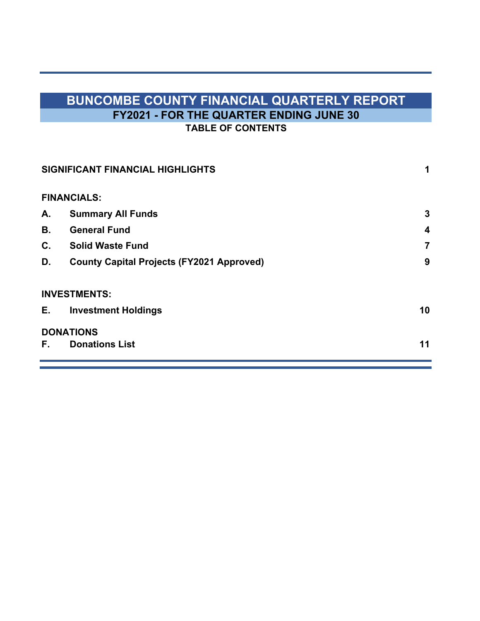# **BUNCOMBE COUNTY FINANCIAL QUARTERLY REPORT FY2021 - FOR THE QUARTER ENDING JUNE 30 TABLE OF CONTENTS**

|    | SIGNIFICANT FINANCIAL HIGHLIGHTS                 | 1  |  |
|----|--------------------------------------------------|----|--|
|    | <b>FINANCIALS:</b>                               |    |  |
| А. | <b>Summary All Funds</b>                         | 3  |  |
| В. | <b>General Fund</b>                              | 4  |  |
| C. | <b>Solid Waste Fund</b>                          | 7  |  |
| D. | <b>County Capital Projects (FY2021 Approved)</b> | 9  |  |
|    | <b>INVESTMENTS:</b>                              |    |  |
| E. | <b>Investment Holdings</b>                       | 10 |  |
|    | <b>DONATIONS</b>                                 |    |  |
| F. | <b>Donations List</b>                            | 11 |  |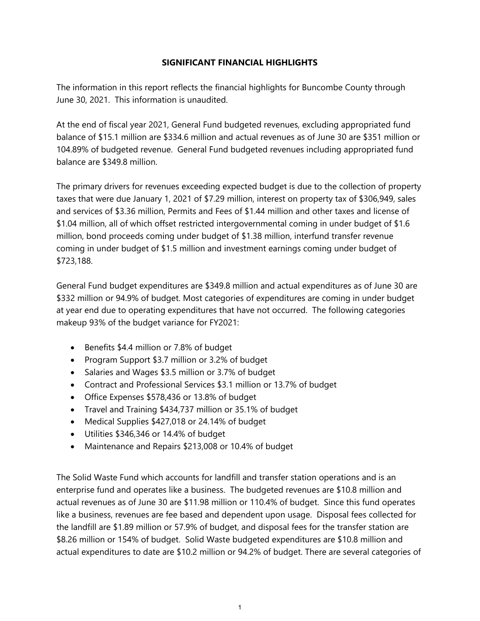## **SIGNIFICANT FINANCIAL HIGHLIGHTS**

The information in this report reflects the financial highlights for Buncombe County through June 30, 2021. This information is unaudited.

At the end of fiscal year 2021, General Fund budgeted revenues, excluding appropriated fund balance of \$15.1 million are \$334.6 million and actual revenues as of June 30 are \$351 million or 104.89% of budgeted revenue. General Fund budgeted revenues including appropriated fund balance are \$349.8 million.

The primary drivers for revenues exceeding expected budget is due to the collection of property taxes that were due January 1, 2021 of \$7.29 million, interest on property tax of \$306,949, sales and services of \$3.36 million, Permits and Fees of \$1.44 million and other taxes and license of \$1.04 million, all of which offset restricted intergovernmental coming in under budget of \$1.6 million, bond proceeds coming under budget of \$1.38 million, interfund transfer revenue coming in under budget of \$1.5 million and investment earnings coming under budget of \$723,188.

General Fund budget expenditures are \$349.8 million and actual expenditures as of June 30 are \$332 million or 94.9% of budget. Most categories of expenditures are coming in under budget at year end due to operating expenditures that have not occurred. The following categories makeup 93% of the budget variance for FY2021:

- Benefits \$4.4 million or 7.8% of budget
- Program Support \$3.7 million or 3.2% of budget
- Salaries and Wages \$3.5 million or 3.7% of budget
- Contract and Professional Services \$3.1 million or 13.7% of budget
- Office Expenses \$578,436 or 13.8% of budget
- Travel and Training \$434,737 million or 35.1% of budget
- Medical Supplies \$427,018 or 24.14% of budget
- Utilities \$346,346 or 14.4% of budget
- Maintenance and Repairs \$213,008 or 10.4% of budget

The Solid Waste Fund which accounts for landfill and transfer station operations and is an enterprise fund and operates like a business. The budgeted revenues are \$10.8 million and actual revenues as of June 30 are \$11.98 million or 110.4% of budget. Since this fund operates like a business, revenues are fee based and dependent upon usage. Disposal fees collected for the landfill are \$1.89 million or 57.9% of budget, and disposal fees for the transfer station are \$8.26 million or 154% of budget. Solid Waste budgeted expenditures are \$10.8 million and actual expenditures to date are \$10.2 million or 94.2% of budget. There are several categories of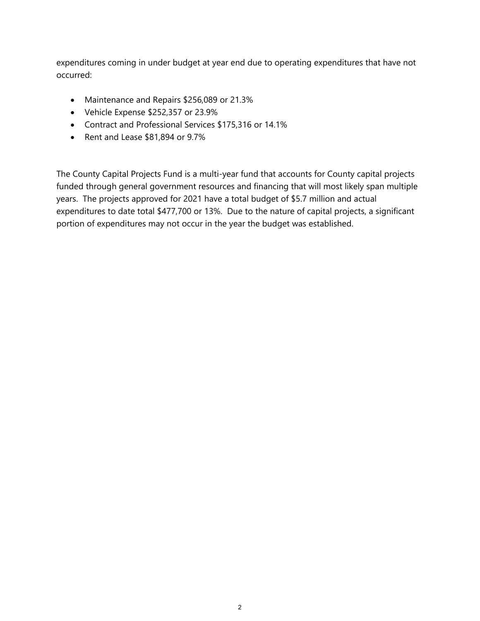expenditures coming in under budget at year end due to operating expenditures that have not occurred:

- Maintenance and Repairs \$256,089 or 21.3%
- Vehicle Expense \$252,357 or 23.9%
- Contract and Professional Services \$175,316 or 14.1%
- Rent and Lease \$81,894 or 9.7%

The County Capital Projects Fund is a multi-year fund that accounts for County capital projects funded through general government resources and financing that will most likely span multiple years. The projects approved for 2021 have a total budget of \$5.7 million and actual expenditures to date total \$477,700 or 13%. Due to the nature of capital projects, a significant portion of expenditures may not occur in the year the budget was established.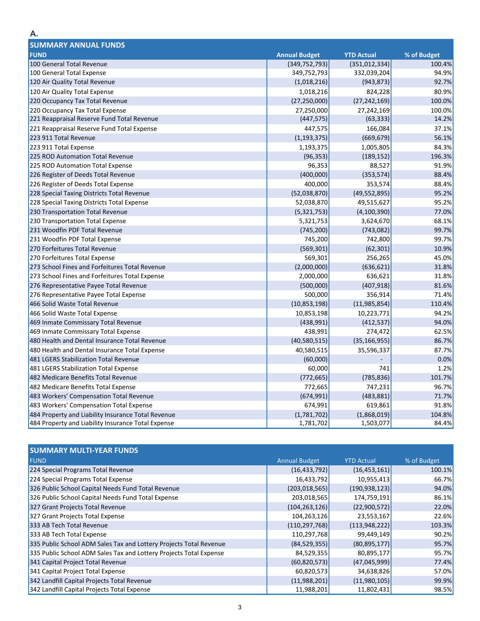| <b>SUMMARY ANNUAL FUNDS</b>                        |                      |                   |             |
|----------------------------------------------------|----------------------|-------------------|-------------|
| <b>FUND</b>                                        | <b>Annual Budget</b> | <b>YTD Actual</b> | % of Budget |
| 100 General Total Revenue                          | (349, 752, 793)      | (351, 012, 334)   | 100.4%      |
| 100 General Total Expense                          | 349,752,793          | 332,039,204       | 94.9%       |
| 120 Air Quality Total Revenue                      | (1,018,216)          | (943, 873)        | 92.7%       |
| 120 Air Quality Total Expense                      | 1,018,216            | 824,228           | 80.9%       |
| 220 Occupancy Tax Total Revenue                    | (27, 250, 000)       | (27, 242, 169)    | 100.0%      |
| 220 Occupancy Tax Total Expense                    | 27,250,000           | 27,242,169        | 100.0%      |
| 221 Reappraisal Reserve Fund Total Revenue         | (447, 575)           | (63, 333)         | 14.2%       |
| 221 Reappraisal Reserve Fund Total Expense         | 447,575              | 166,084           | 37.1%       |
| 223 911 Total Revenue                              | (1, 193, 375)        | (669, 679)        | 56.1%       |
| 223 911 Total Expense                              | 1,193,375            | 1,005,805         | 84.3%       |
| 225 ROD Automation Total Revenue                   | (96, 353)            | (189, 152)        | 196.3%      |
| 225 ROD Automation Total Expense                   | 96,353               | 88,527            | 91.9%       |
| 226 Register of Deeds Total Revenue                | (400,000)            | (353, 574)        | 88.4%       |
| 226 Register of Deeds Total Expense                | 400,000              | 353,574           | 88.4%       |
| 228 Special Taxing Districts Total Revenue         | (52,038,870)         | (49, 552, 895)    | 95.2%       |
| 228 Special Taxing Districts Total Expense         | 52,038,870           | 49,515,627        | 95.2%       |
| 230 Transportation Total Revenue                   | (5,321,753)          | (4, 100, 390)     | 77.0%       |
| 230 Transportation Total Expense                   | 5,321,753            | 3,624,670         | 68.1%       |
| 231 Woodfin PDF Total Revenue                      | (745, 200)           | (743, 082)        | 99.7%       |
| 231 Woodfin PDF Total Expense                      | 745,200              | 742,800           | 99.7%       |
| 270 Forfeitures Total Revenue                      | (569, 301)           | (62, 301)         | 10.9%       |
| 270 Forfeitures Total Expense                      | 569,301              | 256,265           | 45.0%       |
| 273 School Fines and Forfeitures Total Revenue     | (2,000,000)          | (636, 621)        | 31.8%       |
| 273 School Fines and Forfeitures Total Expense     | 2,000,000            | 636,621           | 31.8%       |
| 276 Representative Payee Total Revenue             | (500,000)            | (407, 918)        | 81.6%       |
| 276 Representative Payee Total Expense             | 500,000              | 356,914           | 71.4%       |
| 466 Solid Waste Total Revenue                      | (10, 853, 198)       | (11, 985, 854)    | 110.4%      |
| 466 Solid Waste Total Expense                      | 10,853,198           | 10,223,771        | 94.2%       |
| 469 Inmate Commissary Total Revenue                | (438, 991)           | (412, 537)        | 94.0%       |
| 469 Inmate Commissary Total Expense                | 438,991              | 274,472           | 62.5%       |
| 480 Health and Dental Insurance Total Revenue      | (40,580,515)         | (35, 166, 955)    | 86.7%       |
| 480 Health and Dental Insurance Total Expense      | 40,580,515           | 35,596,337        | 87.7%       |
| 481 LGERS Stabilization Total Revenue              | (60,000)             |                   | 0.0%        |
| 481 LGERS Stabilization Total Expense              | 60,000               | 741               | 1.2%        |
| 482 Medicare Benefits Total Revenue                | (772, 665)           | (785, 836)        | 101.7%      |
| 482 Medicare Benefits Total Expense                | 772,665              | 747,231           | 96.7%       |
| 483 Workers' Compensation Total Revenue            | (674, 991)           | (483, 881)        | 71.7%       |
| 483 Workers' Compensation Total Expense            | 674,991              | 619,861           | 91.8%       |
| 484 Property and Liability Insurance Total Revenue | (1,781,702)          | (1,868,019)       | 104.8%      |
| 484 Property and Liability Insurance Total Expense | 1,781,702            | 1,503,077         | 84.4%       |

| <b>SUMMARY MULTI-YEAR FUNDS</b>                                    |                      |                   |             |  |  |  |  |
|--------------------------------------------------------------------|----------------------|-------------------|-------------|--|--|--|--|
| <b>FUND</b>                                                        | <b>Annual Budget</b> | <b>YTD Actual</b> | % of Budget |  |  |  |  |
| 224 Special Programs Total Revenue                                 | (16, 433, 792)       | (16, 453, 161)    | 100.1%      |  |  |  |  |
| 224 Special Programs Total Expense                                 | 16,433,792           | 10,955,413        | 66.7%       |  |  |  |  |
| 326 Public School Capital Needs Fund Total Revenue                 | (203, 018, 565)      | (190, 938, 123)   | 94.0%       |  |  |  |  |
| 326 Public School Capital Needs Fund Total Expense                 | 203,018,565          | 174,759,191       | 86.1%       |  |  |  |  |
| 327 Grant Projects Total Revenue                                   | (104, 263, 126)      | (22,900,572)      | 22.0%       |  |  |  |  |
| 327 Grant Projects Total Expense                                   | 104,263,126          | 23,553,167        | 22.6%       |  |  |  |  |
| 333 AB Tech Total Revenue                                          | (110, 297, 768)      | (113, 948, 222)   | 103.3%      |  |  |  |  |
| 333 AB Tech Total Expense                                          | 110,297,768          | 99,449,149        | 90.2%       |  |  |  |  |
| 335 Public School ADM Sales Tax and Lottery Projects Total Revenue | (84, 529, 355)       | (80, 895, 177)    | 95.7%       |  |  |  |  |
| 335 Public School ADM Sales Tax and Lottery Projects Total Expense | 84,529,355           | 80,895,177        | 95.7%       |  |  |  |  |
| 341 Capital Project Total Revenue                                  | (60, 820, 573)       | (47, 045, 999)    | 77.4%       |  |  |  |  |
| 341 Capital Project Total Expense                                  | 60,820,573           | 34,638,826        | 57.0%       |  |  |  |  |
| 342 Landfill Capital Projects Total Revenue                        | (11,988,201)         | (11,980,105)      | 99.9%       |  |  |  |  |
| 342 Landfill Capital Projects Total Expense                        | 11,988,201           | 11,802,431        | 98.5%       |  |  |  |  |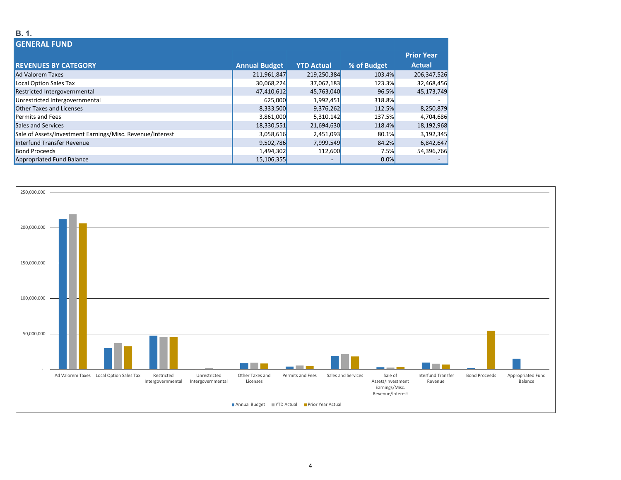### **B. 1.**

| <b>GENERAL FUND</b>                                       |                      |                   |             |                   |  |
|-----------------------------------------------------------|----------------------|-------------------|-------------|-------------------|--|
|                                                           |                      |                   |             | <b>Prior Year</b> |  |
| <b>REVENUES BY CATEGORY</b>                               | <b>Annual Budget</b> | <b>YTD Actual</b> | % of Budget | <b>Actual</b>     |  |
| <b>Ad Valorem Taxes</b>                                   | 211,961,847          | 219,250,384       | 103.4%      | 206,347,526       |  |
| Local Option Sales Tax                                    | 30,068,224           | 37,062,183        | 123.3%      | 32,468,456        |  |
| Restricted Intergovernmental                              | 47,410,612           | 45,763,040        | 96.5%       | 45,173,749        |  |
| Unrestricted Intergovernmental                            | 625,000              | 1,992,451         | 318.8%      |                   |  |
| <b>Other Taxes and Licenses</b>                           | 8,333,500            | 9,376,262         | 112.5%      | 8,250,879         |  |
| <b>Permits and Fees</b>                                   | 3,861,000            | 5,310,142         | 137.5%      | 4,704,686         |  |
| Sales and Services                                        | 18,330,551           | 21,694,630        | 118.4%      | 18,192,968        |  |
| Sale of Assets/Investment Earnings/Misc. Revenue/Interest | 3,058,616            | 2,451,093         | 80.1%       | 3,192,345         |  |
| Interfund Transfer Revenue                                | 9,502,786            | 7,999,549         | 84.2%       | 6,842,647         |  |
| <b>Bond Proceeds</b>                                      | 1,494,302            | 112,600           | 7.5%        | 54,396,766        |  |
| Appropriated Fund Balance                                 | 15,106,355           |                   | 0.0%        |                   |  |

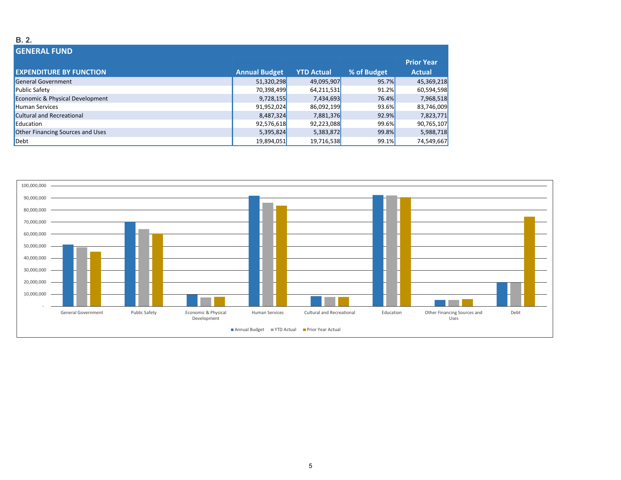#### **B. 2.**

| <b>GENERAL FUND</b>              |                      |                   |             |                   |
|----------------------------------|----------------------|-------------------|-------------|-------------------|
|                                  |                      |                   |             | <b>Prior Year</b> |
| <b>EXPENDITURE BY FUNCTION</b>   | <b>Annual Budget</b> | <b>YTD Actual</b> | % of Budget | <b>Actual</b>     |
| <b>General Government</b>        | 51,320,298           | 49,095,907        | 95.7%       | 45,369,218        |
| <b>Public Safety</b>             | 70,398,499           | 64,211,531        | 91.2%       | 60,594,598        |
| Economic & Physical Development  | 9,728,155            | 7,434,693         | 76.4%       | 7,968,518         |
| <b>Human Services</b>            | 91,952,024           | 86,092,199        | 93.6%       | 83,746,009        |
| <b>Cultural and Recreational</b> | 8,487,324            | 7,881,376         | 92.9%       | 7,823,771         |
| Education                        | 92,576,618           | 92,223,088        | 99.6%       | 90,765,107        |
| Other Financing Sources and Uses | 5,395,824            | 5,383,872         | 99.8%       | 5,988,718         |
| Debt                             | 19,894,051           | 19,716,538        | 99.1%       | 74,549,667        |

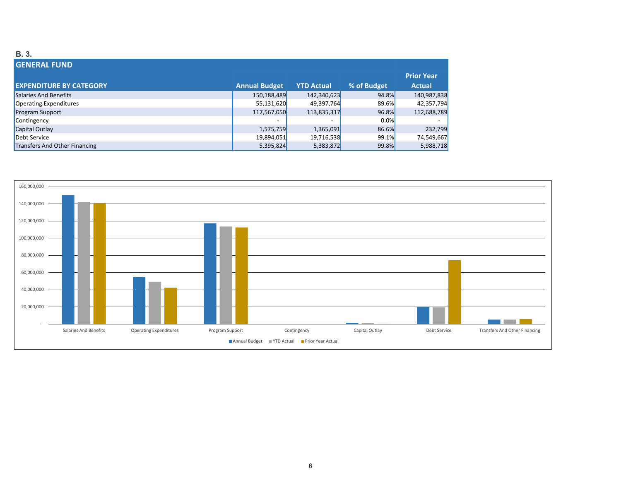#### **B. 3.**

| <b>GENERAL FUND</b>            |                      |                          |             |                   |
|--------------------------------|----------------------|--------------------------|-------------|-------------------|
|                                |                      |                          |             | <b>Prior Year</b> |
| <b>EXPENDITURE BY CATEGORY</b> | <b>Annual Budget</b> | <b>YTD Actual</b>        | % of Budget | <b>Actual</b>     |
| Salaries And Benefits          | 150,188,489          | 142,340,623              | 94.8%       | 140,987,838       |
| Operating Expenditures         | 55,131,620           | 49,397,764               | 89.6%       | 42,357,794        |
| <b>Program Support</b>         | 117,567,050          | 113,835,317              | 96.8%       | 112,688,789       |
| Contingency                    |                      | $\overline{\phantom{a}}$ | 0.0%        |                   |
| Capital Outlay                 | 1,575,759            | 1,365,091                | 86.6%       | 232,799           |
| Debt Service                   | 19,894,051           | 19,716,538               | 99.1%       | 74,549,667        |
| Transfers And Other Financing  | 5,395,824            | 5,383,872                | 99.8%       | 5,988,718         |

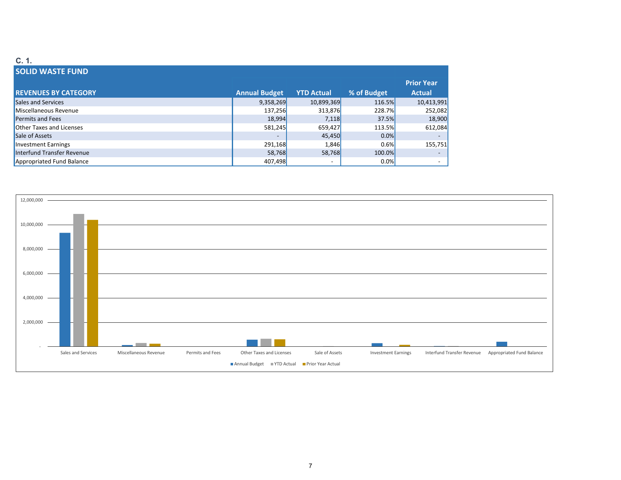#### **C. 1. SOLID WASTE FUND REVENUES BY CATEGORY Annual Budget YTD Actual % of Budget** Sales and Services 9,358,269 10,899,369 116.5% 10,413,991 Miscellaneous Revenue137,256 313,876 228.7% 252,082 مصطلح المسلم المسلم المسلم المسلم المسلم المسلم المسلم المسلم المسلم المسلم الم Permits and Fees 18,994 7,118 37.5% 18,900 Other Taxes and Licenses 581,245 659,427 113.5% 612,084 Sale of Assets of Assets ‐ 45,450 0.0% ‐

Investment Earnings



Earnings 291,168 1,846 0.6% 155,751

Interfund Transfer Revenue 58,768 58,768 100.0% ‐ Appropriated Fund Balance **Appropriated Fund Balance 1997,498 •** 1997,498 **•** 1997,498 **•** 1997,498 **•** 1997,498 **•** 1997,498 **•** 1997,498 **•** 1997,498 **•** 1997,498 **•** 1997,498 **•** 1997,498 **•** 1997,498 **•** 1997,498

**Prior Year Actual**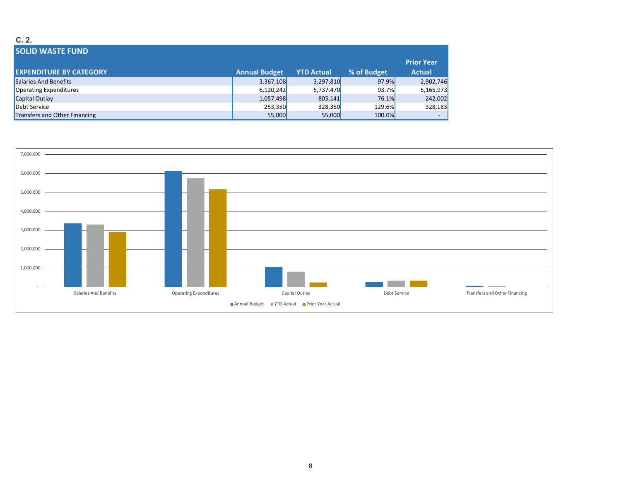#### **C. 2.**

| <b>SOLID WASTE FUND</b>        |                      |                   |             |                   |
|--------------------------------|----------------------|-------------------|-------------|-------------------|
|                                |                      |                   |             | <b>Prior Year</b> |
| <b>EXPENDITURE BY CATEGORY</b> | <b>Annual Budget</b> | <b>YTD Actual</b> | % of Budget | <b>Actual</b>     |
| Salaries And Benefits          | 3,367,108            | 3,297,810         | 97.9%       | 2,902,746         |
| Operating Expenditures         | 6,120,242            | 5,737,470         | 93.7%       | 5,165,973         |
| Capital Outlay                 | 1,057,498            | 805,141           | 76.1%       | 242,002           |
| Debt Service                   | 253,350              | 328,350           | 129.6%      | 328,183           |
| Transfers and Other Financing  | 55,000               | 55,000            | 100.0%      |                   |

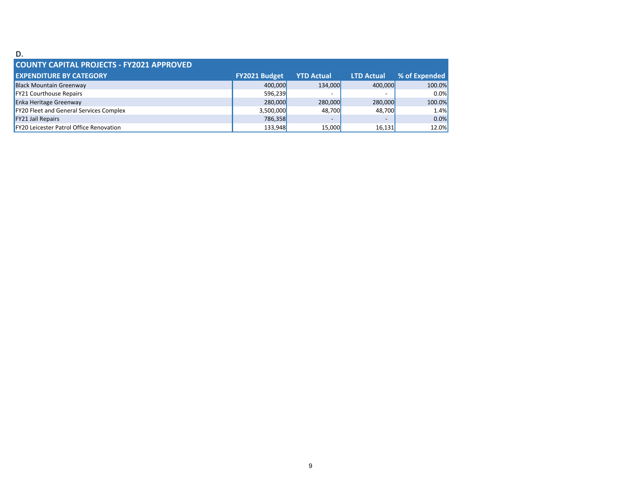#### **D.**

| <b>COUNTY CAPITAL PROJECTS - FY2021 APPROVED</b> |                      |                   |                          |               |  |
|--------------------------------------------------|----------------------|-------------------|--------------------------|---------------|--|
| <b>EXPENDITURE BY CATEGORY</b>                   | <b>FY2021 Budget</b> | <b>YTD Actual</b> | <b>LTD Actual</b>        | % of Expended |  |
| <b>Black Mountain Greenway</b>                   | 400.000              | 134,000           | 400,000                  | 100.0%        |  |
| <b>FY21 Courthouse Repairs</b>                   | 596,239              |                   | $\overline{\phantom{a}}$ | $0.0\%$       |  |
| <b>Enka Heritage Greenway</b>                    | 280,000              | 280,000           | 280,000                  | 100.0%        |  |
| <b>FY20 Fleet and General Services Complex</b>   | 3,500,000            | 48.700            | 48.700                   | 1.4%          |  |
| <b>FY21 Jail Repairs</b>                         | 786,358              | $\sim$            | $\overline{\phantom{a}}$ | $0.0\%$       |  |
| FY20 Leicester Patrol Office Renovation          | 133,948              | 15,000            | 16,131                   | 12.0%         |  |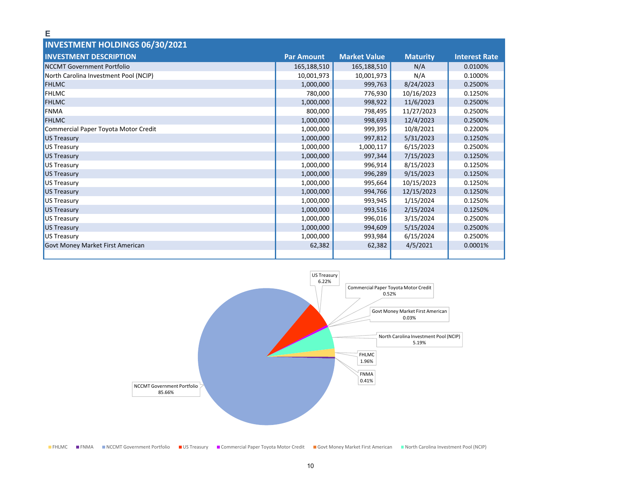| <b>INVESTMENT HOLDINGS 06/30/2021</b>   |                   |                     |                 |                      |
|-----------------------------------------|-------------------|---------------------|-----------------|----------------------|
| <b>INVESTMENT DESCRIPTION</b>           | <b>Par Amount</b> | <b>Market Value</b> | <b>Maturity</b> | <b>Interest Rate</b> |
| NCCMT Government Portfolio              | 165,188,510       | 165,188,510         | N/A             | 0.0100%              |
| North Carolina Investment Pool (NCIP)   | 10,001,973        | 10,001,973          | N/A             | 0.1000%              |
| <b>FHLMC</b>                            | 1,000,000         | 999,763             | 8/24/2023       | 0.2500%              |
| <b>FHLMC</b>                            | 780,000           | 776,930             | 10/16/2023      | 0.1250%              |
| <b>FHLMC</b>                            | 1,000,000         | 998,922             | 11/6/2023       | 0.2500%              |
| FNMA                                    | 800,000           | 798,495             | 11/27/2023      | 0.2500%              |
| <b>FHLMC</b>                            | 1,000,000         | 998,693             | 12/4/2023       | 0.2500%              |
| Commercial Paper Toyota Motor Credit    | 1,000,000         | 999,395             | 10/8/2021       | 0.2200%              |
| US Treasury                             | 1,000,000         | 997,812             | 5/31/2023       | 0.1250%              |
| US Treasury                             | 1,000,000         | 1,000,117           | 6/15/2023       | 0.2500%              |
| US Treasury                             | 1,000,000         | 997,344             | 7/15/2023       | 0.1250%              |
| US Treasury                             | 1,000,000         | 996,914             | 8/15/2023       | 0.1250%              |
| US Treasury                             | 1,000,000         | 996,289             | 9/15/2023       | 0.1250%              |
| US Treasury                             | 1,000,000         | 995,664             | 10/15/2023      | 0.1250%              |
| US Treasury                             | 1,000,000         | 994,766             | 12/15/2023      | 0.1250%              |
| US Treasury                             | 1,000,000         | 993,945             | 1/15/2024       | 0.1250%              |
| US Treasury                             | 1,000,000         | 993,516             | 2/15/2024       | 0.1250%              |
| US Treasury                             | 1,000,000         | 996,016             | 3/15/2024       | 0.2500%              |
| US Treasury                             | 1,000,000         | 994,609             | 5/15/2024       | 0.2500%              |
| US Treasury                             | 1,000,000         | 993,984             | 6/15/2024       | 0.2500%              |
| <b>Govt Money Market First American</b> | 62,382            | 62,382              | 4/5/2021        | 0.0001%              |
|                                         |                   |                     |                 |                      |

**E**